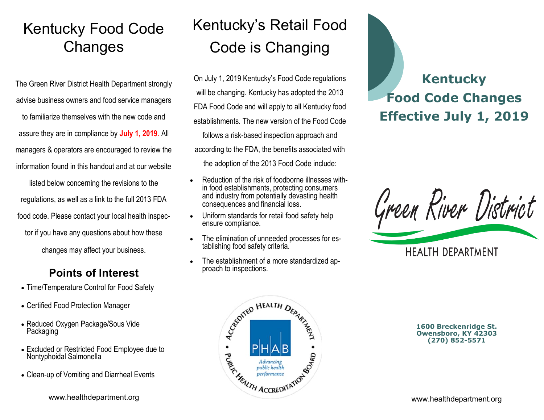## Kentucky Food Code **Changes**

The Green River District Health Department strongly advise business owners and food service managers to familiarize themselves with the new code and assure they are in compliance by **July 1, 2019**. All managers & operators are encouraged to review the

information found in this handout and at our website

listed below concerning the revisions to the regulations, as well as a link to the full 2013 FDA food code. Please contact your local health inspector if you have any questions about how these changes may affect your business.

### **Points of Interest**

- Time/Temperature Control for Food Safety
- Certified Food Protection Manager
- Reduced Oxygen Package/Sous Vide Packaging
- Excluded or Restricted Food Employee due to Nontyphoidal Salmonella
- Clean-up of Vomiting and Diarrheal Events

# Kentucky's Retail Food Code is Changing

On July 1, 2019 Kentucky's Food Code regulations will be changing. Kentucky has adopted the 2013 FDA Food Code and will apply to all Kentucky food establishments. The new version of the Food Code follows a risk-based inspection approach and according to the FDA, the benefits associated with the adoption of the 2013 Food Code include:

- Reduction of the risk of foodborne illnesses within food establishments, protecting consumers and industry from potentially devasting health consequences and financial loss.
- Uniform standards for retail food safety help ensure compliance.
- The elimination of unneeded processes for establishing food safety criteria.
- The establishment of a more standardized approach to inspections.

# **Kentucky Food Code Changes Effective July 1, 2019**





**1600 Breckenridge St. Owensboro, KY 42303 (270) 852-5571**